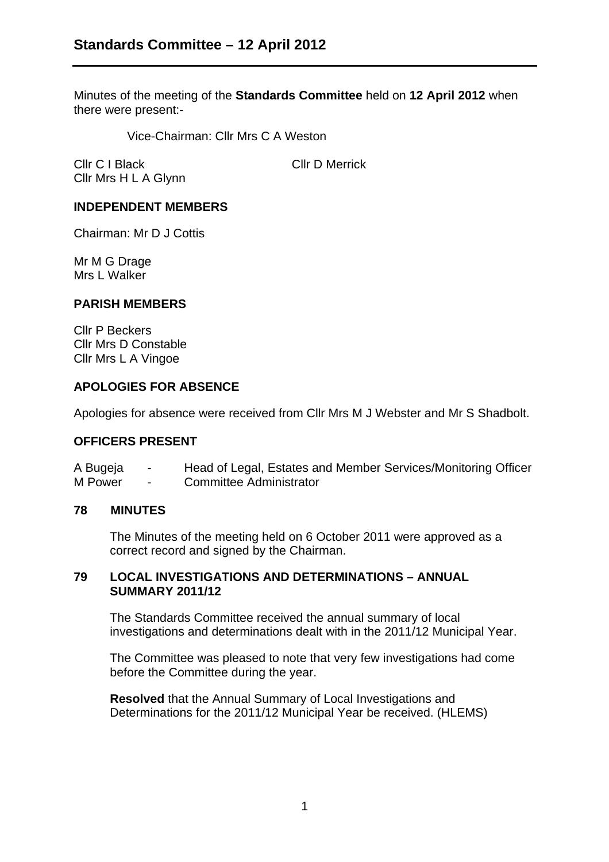Minutes of the meeting of the **Standards Committee** held on **12 April 2012** when there were present:-

Vice-Chairman: Cllr Mrs C A Weston

Cllr C I Black Cllr D Merrick Cllr Mrs H L A Glynn

# **INDEPENDENT MEMBERS**

Chairman: Mr D J Cottis

Mr M G Drage Mrs L Walker

### **PARISH MEMBERS**

Cllr P Beckers Cllr Mrs D Constable Cllr Mrs L A Vingoe

### **APOLOGIES FOR ABSENCE**

Apologies for absence were received from Cllr Mrs M J Webster and Mr S Shadbolt.

#### **OFFICERS PRESENT**

A Bugeja - Head of Legal, Estates and Member Services/Monitoring Officer M Power - Committee Administrator

#### **78 MINUTES**

The Minutes of the meeting held on 6 October 2011 were approved as a correct record and signed by the Chairman.

# **79 LOCAL INVESTIGATIONS AND DETERMINATIONS – ANNUAL SUMMARY 2011/12**

The Standards Committee received the annual summary of local investigations and determinations dealt with in the 2011/12 Municipal Year.

The Committee was pleased to note that very few investigations had come before the Committee during the year.

**Resolved** that the Annual Summary of Local Investigations and Determinations for the 2011/12 Municipal Year be received. (HLEMS)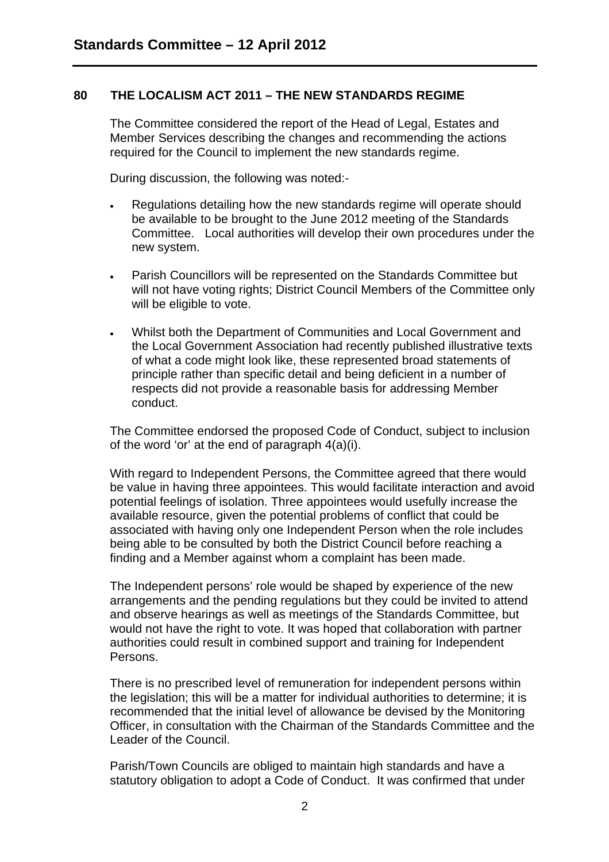# **80 THE LOCALISM ACT 2011 – THE NEW STANDARDS REGIME**

The Committee considered the report of the Head of Legal, Estates and Member Services describing the changes and recommending the actions required for the Council to implement the new standards regime.

During discussion, the following was noted:-

- Regulations detailing how the new standards regime will operate should be available to be brought to the June 2012 meeting of the Standards Committee. Local authorities will develop their own procedures under the new system.
- Parish Councillors will be represented on the Standards Committee but will not have voting rights; District Council Members of the Committee only will be eligible to vote.
- Whilst both the Department of Communities and Local Government and the Local Government Association had recently published illustrative texts of what a code might look like, these represented broad statements of principle rather than specific detail and being deficient in a number of respects did not provide a reasonable basis for addressing Member conduct.

The Committee endorsed the proposed Code of Conduct, subject to inclusion of the word 'or' at the end of paragraph 4(a)(i).

With regard to Independent Persons, the Committee agreed that there would be value in having three appointees. This would facilitate interaction and avoid potential feelings of isolation. Three appointees would usefully increase the available resource, given the potential problems of conflict that could be associated with having only one Independent Person when the role includes being able to be consulted by both the District Council before reaching a finding and a Member against whom a complaint has been made.

The Independent persons' role would be shaped by experience of the new arrangements and the pending regulations but they could be invited to attend and observe hearings as well as meetings of the Standards Committee, but would not have the right to vote. It was hoped that collaboration with partner authorities could result in combined support and training for Independent Persons.

There is no prescribed level of remuneration for independent persons within the legislation; this will be a matter for individual authorities to determine; it is recommended that the initial level of allowance be devised by the Monitoring Officer, in consultation with the Chairman of the Standards Committee and the Leader of the Council.

Parish/Town Councils are obliged to maintain high standards and have a statutory obligation to adopt a Code of Conduct. It was confirmed that under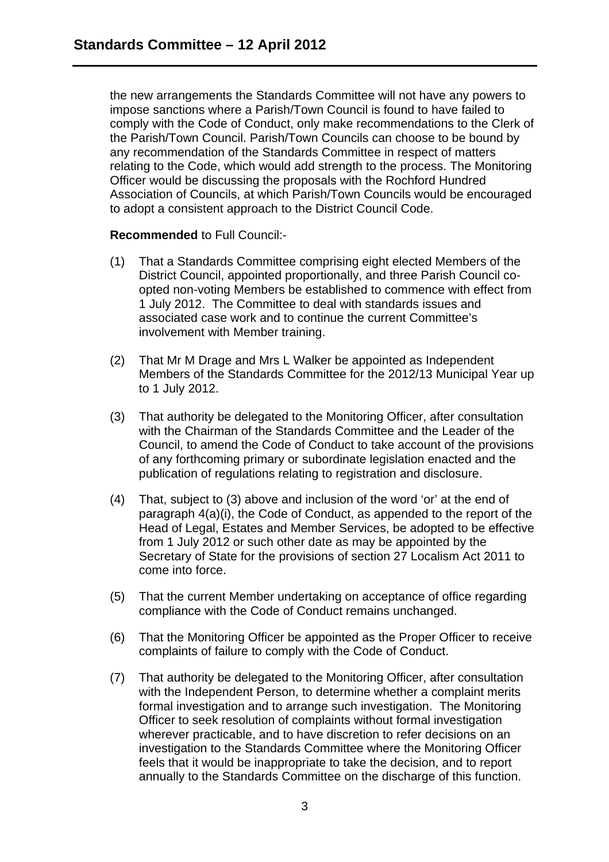the new arrangements the Standards Committee will not have any powers to impose sanctions where a Parish/Town Council is found to have failed to comply with the Code of Conduct, only make recommendations to the Clerk of the Parish/Town Council. Parish/Town Councils can choose to be bound by any recommendation of the Standards Committee in respect of matters relating to the Code, which would add strength to the process. The Monitoring Officer would be discussing the proposals with the Rochford Hundred Association of Councils, at which Parish/Town Councils would be encouraged to adopt a consistent approach to the District Council Code.

### **Recommended** to Full Council:-

- (1) That a Standards Committee comprising eight elected Members of the District Council, appointed proportionally, and three Parish Council coopted non-voting Members be established to commence with effect from 1 July 2012. The Committee to deal with standards issues and associated case work and to continue the current Committee's involvement with Member training.
- (2) That Mr M Drage and Mrs L Walker be appointed as Independent Members of the Standards Committee for the 2012/13 Municipal Year up to 1 July 2012.
- (3) That authority be delegated to the Monitoring Officer, after consultation with the Chairman of the Standards Committee and the Leader of the Council, to amend the Code of Conduct to take account of the provisions of any forthcoming primary or subordinate legislation enacted and the publication of regulations relating to registration and disclosure.
- (4) That, subject to (3) above and inclusion of the word 'or' at the end of paragraph 4(a)(i), the Code of Conduct, as appended to the report of the Head of Legal, Estates and Member Services, be adopted to be effective from 1 July 2012 or such other date as may be appointed by the Secretary of State for the provisions of section 27 Localism Act 2011 to come into force.
- (5) That the current Member undertaking on acceptance of office regarding compliance with the Code of Conduct remains unchanged.
- (6) That the Monitoring Officer be appointed as the Proper Officer to receive complaints of failure to comply with the Code of Conduct.
- (7) That authority be delegated to the Monitoring Officer, after consultation with the Independent Person, to determine whether a complaint merits formal investigation and to arrange such investigation. The Monitoring Officer to seek resolution of complaints without formal investigation wherever practicable, and to have discretion to refer decisions on an investigation to the Standards Committee where the Monitoring Officer feels that it would be inappropriate to take the decision, and to report annually to the Standards Committee on the discharge of this function.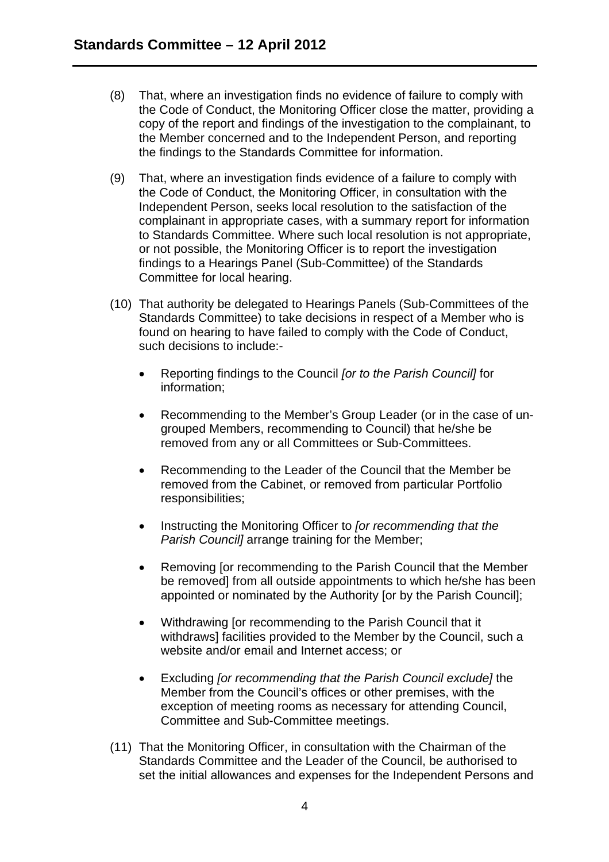- (8) That, where an investigation finds no evidence of failure to comply with the Code of Conduct, the Monitoring Officer close the matter, providing a copy of the report and findings of the investigation to the complainant, to the Member concerned and to the Independent Person, and reporting the findings to the Standards Committee for information.
- (9) That, where an investigation finds evidence of a failure to comply with the Code of Conduct, the Monitoring Officer, in consultation with the Independent Person, seeks local resolution to the satisfaction of the complainant in appropriate cases, with a summary report for information to Standards Committee. Where such local resolution is not appropriate, or not possible, the Monitoring Officer is to report the investigation findings to a Hearings Panel (Sub-Committee) of the Standards Committee for local hearing.
- (10) That authority be delegated to Hearings Panels (Sub-Committees of the Standards Committee) to take decisions in respect of a Member who is found on hearing to have failed to comply with the Code of Conduct, such decisions to include:-
	- Reporting findings to the Council *[or to the Parish Council]* for information;
	- Recommending to the Member's Group Leader (or in the case of ungrouped Members, recommending to Council) that he/she be removed from any or all Committees or Sub-Committees.
	- Recommending to the Leader of the Council that the Member be removed from the Cabinet, or removed from particular Portfolio responsibilities;
	- Instructing the Monitoring Officer to *[or recommending that the Parish Council]* arrange training for the Member;
	- Removing [or recommending to the Parish Council that the Member be removed] from all outside appointments to which he/she has been appointed or nominated by the Authority [or by the Parish Council];
	- Withdrawing [or recommending to the Parish Council that it withdraws] facilities provided to the Member by the Council, such a website and/or email and Internet access; or
	- Excluding *[or recommending that the Parish Council exclude]* the Member from the Council's offices or other premises, with the exception of meeting rooms as necessary for attending Council, Committee and Sub-Committee meetings.
- (11) That the Monitoring Officer, in consultation with the Chairman of the Standards Committee and the Leader of the Council, be authorised to set the initial allowances and expenses for the Independent Persons and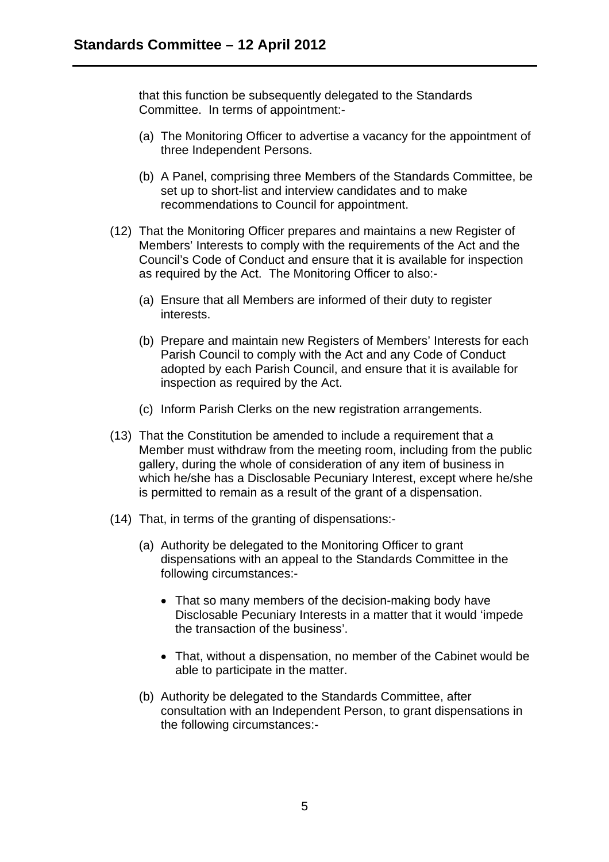that this function be subsequently delegated to the Standards Committee. In terms of appointment:-

- (a) The Monitoring Officer to advertise a vacancy for the appointment of three Independent Persons.
- (b) A Panel, comprising three Members of the Standards Committee, be set up to short-list and interview candidates and to make recommendations to Council for appointment.
- (12) That the Monitoring Officer prepares and maintains a new Register of Members' Interests to comply with the requirements of the Act and the Council's Code of Conduct and ensure that it is available for inspection as required by the Act. The Monitoring Officer to also:-
	- (a) Ensure that all Members are informed of their duty to register interests.
	- (b) Prepare and maintain new Registers of Members' Interests for each Parish Council to comply with the Act and any Code of Conduct adopted by each Parish Council, and ensure that it is available for inspection as required by the Act.
	- (c) Inform Parish Clerks on the new registration arrangements.
- (13) That the Constitution be amended to include a requirement that a Member must withdraw from the meeting room, including from the public gallery, during the whole of consideration of any item of business in which he/she has a Disclosable Pecuniary Interest, except where he/she is permitted to remain as a result of the grant of a dispensation.
- (14) That, in terms of the granting of dispensations:-
	- (a) Authority be delegated to the Monitoring Officer to grant dispensations with an appeal to the Standards Committee in the following circumstances:-
		- That so many members of the decision-making body have Disclosable Pecuniary Interests in a matter that it would 'impede the transaction of the business'.
		- That, without a dispensation, no member of the Cabinet would be able to participate in the matter.
	- (b) Authority be delegated to the Standards Committee, after consultation with an Independent Person, to grant dispensations in the following circumstances:-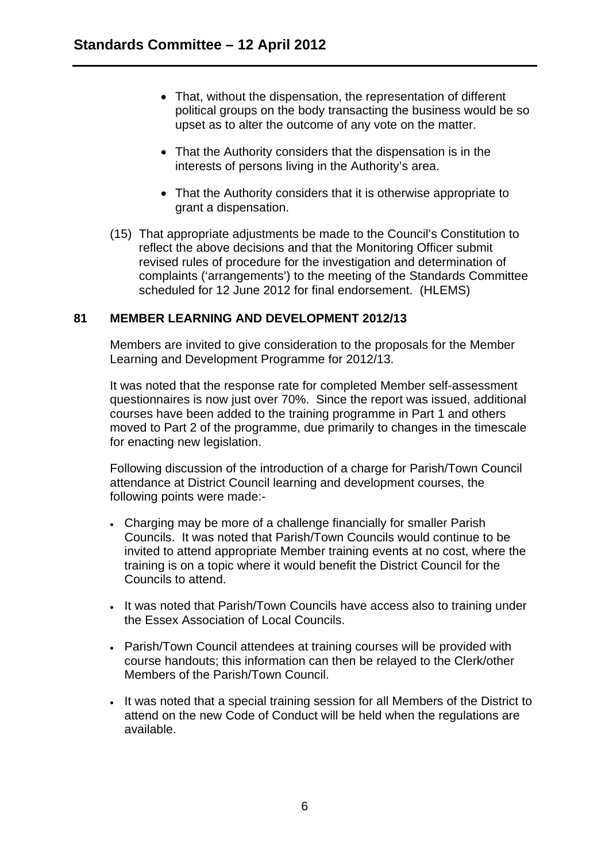- That, without the dispensation, the representation of different political groups on the body transacting the business would be so upset as to alter the outcome of any vote on the matter.
- That the Authority considers that the dispensation is in the interests of persons living in the Authority's area.
- That the Authority considers that it is otherwise appropriate to grant a dispensation.
- (15) That appropriate adjustments be made to the Council's Constitution to reflect the above decisions and that the Monitoring Officer submit revised rules of procedure for the investigation and determination of complaints ('arrangements') to the meeting of the Standards Committee scheduled for 12 June 2012 for final endorsement. (HLEMS)

# **81 MEMBER LEARNING AND DEVELOPMENT 2012/13**

Members are invited to give consideration to the proposals for the Member Learning and Development Programme for 2012/13.

It was noted that the response rate for completed Member self-assessment questionnaires is now just over 70%. Since the report was issued, additional courses have been added to the training programme in Part 1 and others moved to Part 2 of the programme, due primarily to changes in the timescale for enacting new legislation.

Following discussion of the introduction of a charge for Parish/Town Council attendance at District Council learning and development courses, the following points were made:-

- Charging may be more of a challenge financially for smaller Parish Councils. It was noted that Parish/Town Councils would continue to be invited to attend appropriate Member training events at no cost, where the training is on a topic where it would benefit the District Council for the Councils to attend.
- It was noted that Parish/Town Councils have access also to training under the Essex Association of Local Councils.
- Parish/Town Council attendees at training courses will be provided with course handouts; this information can then be relayed to the Clerk/other Members of the Parish/Town Council.
- It was noted that a special training session for all Members of the District to attend on the new Code of Conduct will be held when the regulations are available.